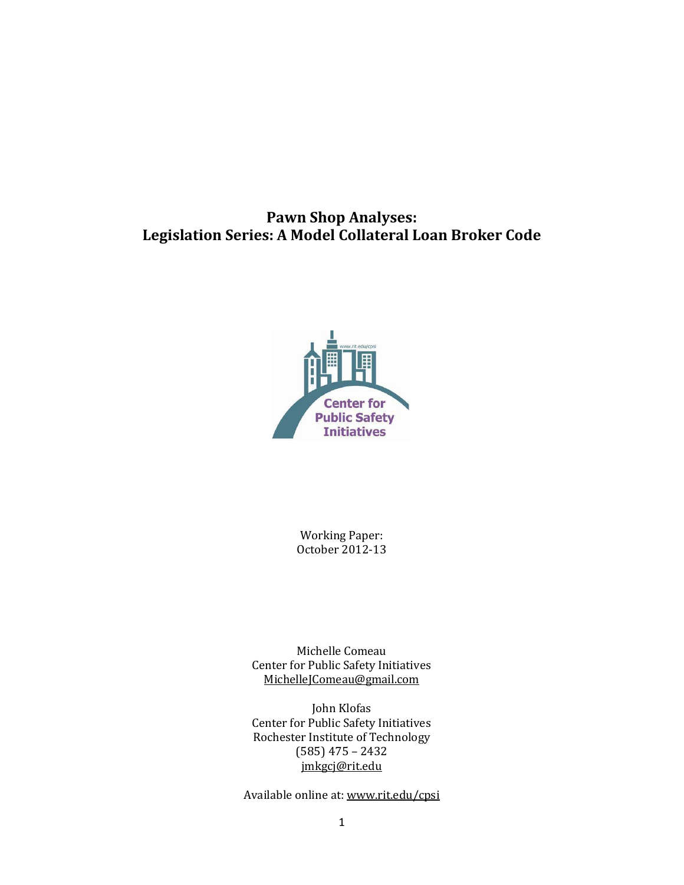# **Pawn Shop Analyses: Legislation Series: A Model Collateral Loan Broker Code**



Working Paper: October 2012-13

Michelle Comeau Center for Public Safety Initiatives [MichelleJComeau@gmail.com](mailto:MichelleJComeau@gmail.com)

John Klofas Center for Public Safety Initiatives Rochester Institute of Technology (585) 475 – 2432 [jmkgcj@rit.edu](mailto:jmkgcj@rit.edu)

Available online at: www.rit.edu/cpsi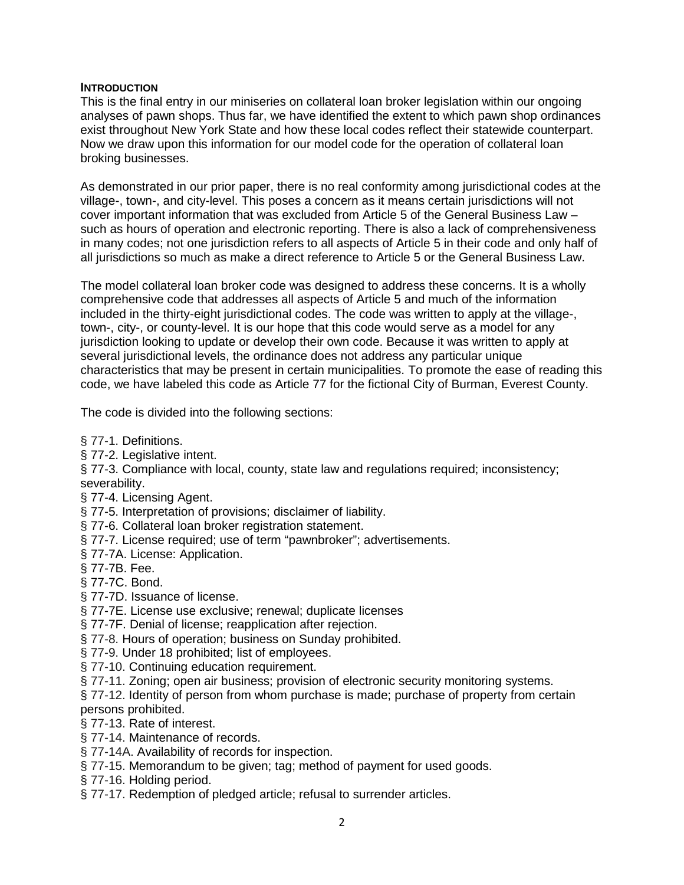### **INTRODUCTION**

This is the final entry in our miniseries on collateral loan broker legislation within our ongoing analyses of pawn shops. Thus far, we have identified the extent to which pawn shop ordinances exist throughout New York State and how these local codes reflect their statewide counterpart. Now we draw upon this information for our model code for the operation of collateral loan broking businesses.

As demonstrated in our prior paper, there is no real conformity among jurisdictional codes at the village-, town-, and city-level. This poses a concern as it means certain jurisdictions will not cover important information that was excluded from Article 5 of the General Business Law – such as hours of operation and electronic reporting. There is also a lack of comprehensiveness in many codes; not one jurisdiction refers to all aspects of Article 5 in their code and only half of all jurisdictions so much as make a direct reference to Article 5 or the General Business Law.

The model collateral loan broker code was designed to address these concerns. It is a wholly comprehensive code that addresses all aspects of Article 5 and much of the information included in the thirty-eight jurisdictional codes. The code was written to apply at the village-, town-, city-, or county-level. It is our hope that this code would serve as a model for any jurisdiction looking to update or develop their own code. Because it was written to apply at several jurisdictional levels, the ordinance does not address any particular unique characteristics that may be present in certain municipalities. To promote the ease of reading this code, we have labeled this code as Article 77 for the fictional City of Burman, Everest County.

The code is divided into the following sections:

- § 77-1. Definitions.
- § 77-2. Legislative intent.
- § 77-3. Compliance with local, county, state law and regulations required; inconsistency; severability.
- § 77-4. Licensing Agent.
- § 77-5. Interpretation of provisions; disclaimer of liability.
- § 77-6. Collateral loan broker registration statement.
- § 77-7. License required; use of term "pawnbroker"; advertisements.
- § 77-7A. License: Application.
- § 77-7B. Fee.
- § 77-7C. Bond.
- § 77-7D. Issuance of license.
- § 77-7E. License use exclusive; renewal; duplicate licenses
- § 77-7F. Denial of license; reapplication after rejection.
- § 77-8. Hours of operation; business on Sunday prohibited.
- § 77-9. Under 18 prohibited; list of employees.
- § 77-10. Continuing education requirement.
- § 77-11. Zoning; open air business; provision of electronic security monitoring systems.
- § 77-12. Identity of person from whom purchase is made; purchase of property from certain persons prohibited.
- § 77-13. Rate of interest.
- § 77-14. Maintenance of records.
- § 77-14A. Availability of records for inspection.
- § 77-15. Memorandum to be given; tag; method of payment for used goods.
- § 77-16. Holding period.
- § 77-17. Redemption of pledged article; refusal to surrender articles.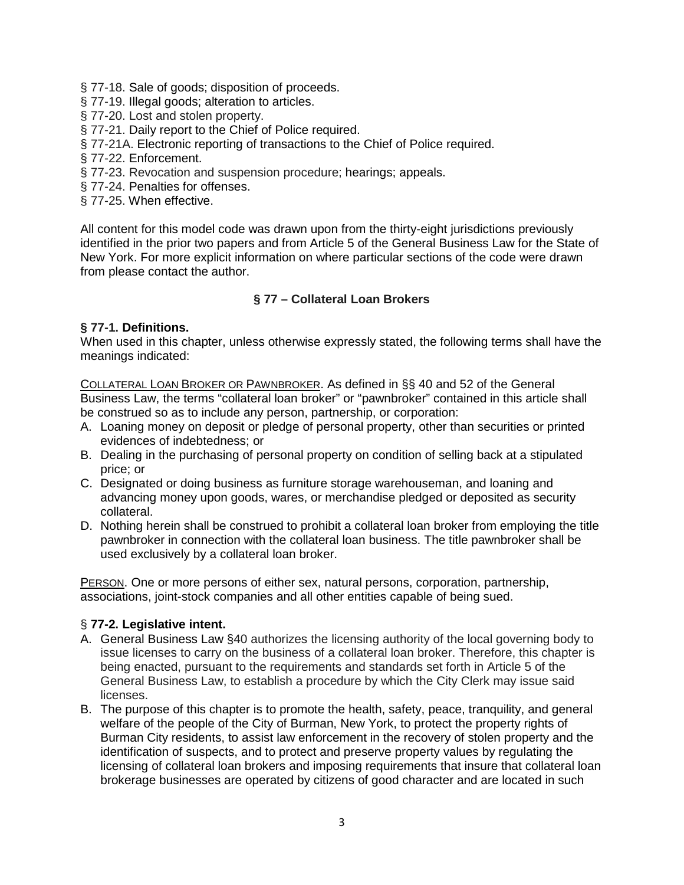§ 77-18. Sale of goods; disposition of proceeds.

§ 77-19. Illegal goods; alteration to articles.

§ 77-20. Lost and stolen property.

§ 77-21. Daily report to the Chief of Police required.

§ 77-21A. Electronic reporting of transactions to the Chief of Police required.

§ 77-22. Enforcement.

§ 77-23. Revocation and suspension procedure; hearings; appeals.

§ 77-24. Penalties for offenses.

§ 77-25. When effective.

All content for this model code was drawn upon from the thirty-eight jurisdictions previously identified in the prior two papers and from Article 5 of the General Business Law for the State of New York. For more explicit information on where particular sections of the code were drawn from please contact the author.

# **§ 77 – Collateral Loan Brokers**

### **§ 77-1. Definitions.**

When used in this chapter, unless otherwise expressly stated, the following terms shall have the meanings indicated:

COLLATERAL LOAN BROKER OR PAWNBROKER. As defined in §§ 40 and 52 of the General Business Law, the terms "collateral loan broker" or "pawnbroker" contained in this article shall be construed so as to include any person, partnership, or corporation:

- A. Loaning money on deposit or pledge of personal property, other than securities or printed evidences of indebtedness; or
- B. Dealing in the purchasing of personal property on condition of selling back at a stipulated price; or
- C. Designated or doing business as furniture storage warehouseman, and loaning and advancing money upon goods, wares, or merchandise pledged or deposited as security collateral.
- D. Nothing herein shall be construed to prohibit a collateral loan broker from employing the title pawnbroker in connection with the collateral loan business. The title pawnbroker shall be used exclusively by a collateral loan broker.

PERSON. One or more persons of either sex, natural persons, corporation, partnership, associations, joint-stock companies and all other entities capable of being sued.

### § **77-2. Legislative intent.**

- A. General Business Law §40 authorizes the licensing authority of the local governing body to issue licenses to carry on the business of a collateral loan broker. Therefore, this chapter is being enacted, pursuant to the requirements and standards set forth in Article 5 of the General Business Law, to establish a procedure by which the City Clerk may issue said licenses.
- B. The purpose of this chapter is to promote the health, safety, peace, tranquility, and general welfare of the people of the City of Burman, New York, to protect the property rights of Burman City residents, to assist law enforcement in the recovery of stolen property and the identification of suspects, and to protect and preserve property values by regulating the licensing of collateral loan brokers and imposing requirements that insure that collateral loan brokerage businesses are operated by citizens of good character and are located in such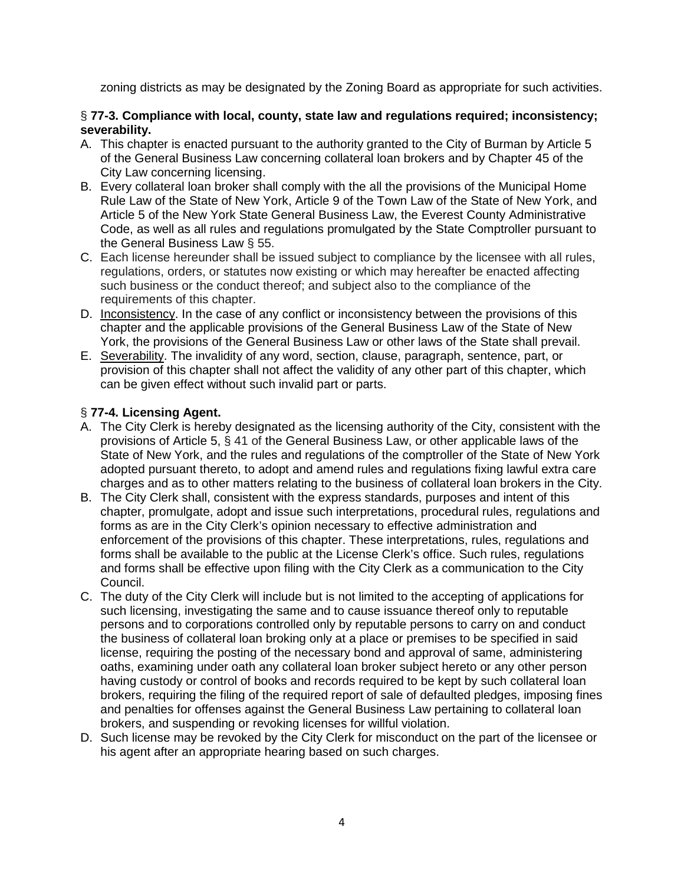zoning districts as may be designated by the Zoning Board as appropriate for such activities.

### § **77-3. Compliance with local, county, state law and regulations required; inconsistency; severability.**

- A. This chapter is enacted pursuant to the authority granted to the City of Burman by Article 5 of the General Business Law concerning collateral loan brokers and by Chapter 45 of the City Law concerning licensing.
- B. Every collateral loan broker shall comply with the all the provisions of the Municipal Home Rule Law of the State of New York, Article 9 of the Town Law of the State of New York, and Article 5 of the New York State General Business Law, the Everest County Administrative Code, as well as all rules and regulations promulgated by the State Comptroller pursuant to the General Business Law § 55.
- C. Each license hereunder shall be issued subject to compliance by the licensee with all rules, regulations, orders, or statutes now existing or which may hereafter be enacted affecting such business or the conduct thereof; and subject also to the compliance of the requirements of this chapter.
- D. Inconsistency. In the case of any conflict or inconsistency between the provisions of this chapter and the applicable provisions of the General Business Law of the State of New York, the provisions of the General Business Law or other laws of the State shall prevail.
- E. Severability. The invalidity of any word, section, clause, paragraph, sentence, part, or provision of this chapter shall not affect the validity of any other part of this chapter, which can be given effect without such invalid part or parts.

# § **77-4. Licensing Agent.**

- A. The City Clerk is hereby designated as the licensing authority of the City, consistent with the provisions of Article 5, § 41 of the General Business Law, or other applicable laws of the State of New York, and the rules and regulations of the comptroller of the State of New York adopted pursuant thereto, to adopt and amend rules and regulations fixing lawful extra care charges and as to other matters relating to the business of collateral loan brokers in the City.
- B. The City Clerk shall, consistent with the express standards, purposes and intent of this chapter, promulgate, adopt and issue such interpretations, procedural rules, regulations and forms as are in the City Clerk's opinion necessary to effective administration and enforcement of the provisions of this chapter. These interpretations, rules, regulations and forms shall be available to the public at the License Clerk's office. Such rules, regulations and forms shall be effective upon filing with the City Clerk as a communication to the City Council.
- C. The duty of the City Clerk will include but is not limited to the accepting of applications for such licensing, investigating the same and to cause issuance thereof only to reputable persons and to corporations controlled only by reputable persons to carry on and conduct the business of collateral loan broking only at a place or premises to be specified in said license, requiring the posting of the necessary bond and approval of same, administering oaths, examining under oath any collateral loan broker subject hereto or any other person having custody or control of books and records required to be kept by such collateral loan brokers, requiring the filing of the required report of sale of defaulted pledges, imposing fines and penalties for offenses against the General Business Law pertaining to collateral loan brokers, and suspending or revoking licenses for willful violation.
- D. Such license may be revoked by the City Clerk for misconduct on the part of the licensee or his agent after an appropriate hearing based on such charges.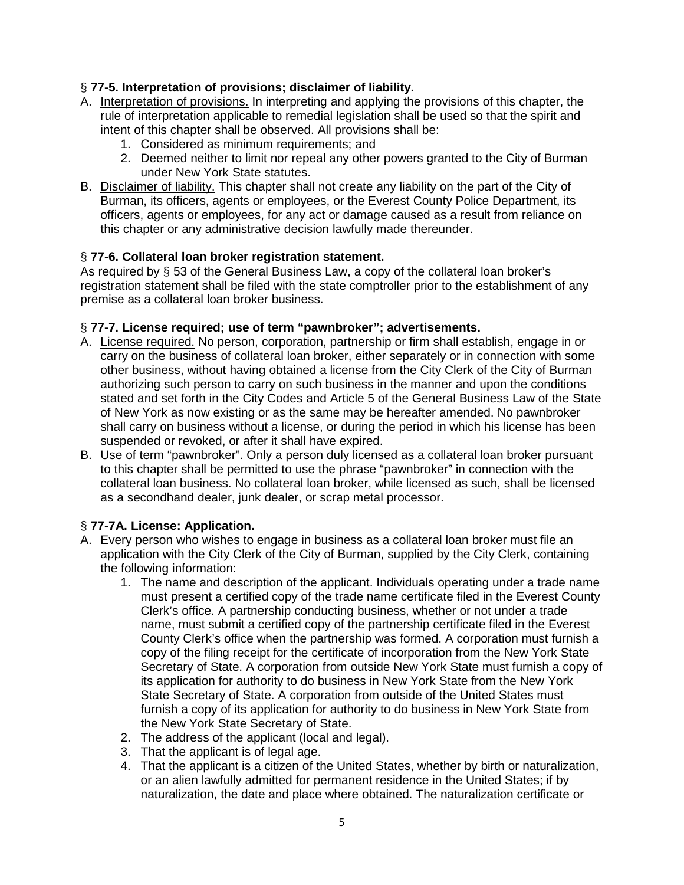### § **77-5. Interpretation of provisions; disclaimer of liability.**

- A. Interpretation of provisions. In interpreting and applying the provisions of this chapter, the rule of interpretation applicable to remedial legislation shall be used so that the spirit and intent of this chapter shall be observed. All provisions shall be:
	- 1. Considered as minimum requirements; and
	- 2. Deemed neither to limit nor repeal any other powers granted to the City of Burman under New York State statutes.
- B. Disclaimer of liability. This chapter shall not create any liability on the part of the City of Burman, its officers, agents or employees, or the Everest County Police Department, its officers, agents or employees, for any act or damage caused as a result from reliance on this chapter or any administrative decision lawfully made thereunder.

### § **77-6. Collateral loan broker registration statement.**

As required by § 53 of the General Business Law, a copy of the collateral loan broker's registration statement shall be filed with the state comptroller prior to the establishment of any premise as a collateral loan broker business.

### § **77-7. License required; use of term "pawnbroker"; advertisements.**

- A. License required. No person, corporation, partnership or firm shall establish, engage in or carry on the business of collateral loan broker, either separately or in connection with some other business, without having obtained a license from the City Clerk of the City of Burman authorizing such person to carry on such business in the manner and upon the conditions stated and set forth in the City Codes and Article 5 of the General Business Law of the State of New York as now existing or as the same may be hereafter amended. No pawnbroker shall carry on business without a license, or during the period in which his license has been suspended or revoked, or after it shall have expired.
- B. Use of term "pawnbroker". Only a person duly licensed as a collateral loan broker pursuant to this chapter shall be permitted to use the phrase "pawnbroker" in connection with the collateral loan business. No collateral loan broker, while licensed as such, shall be licensed as a secondhand dealer, junk dealer, or scrap metal processor.

# § **77-7A. License: Application.**

- A. Every person who wishes to engage in business as a collateral loan broker must file an application with the City Clerk of the City of Burman, supplied by the City Clerk, containing the following information:
	- 1. The name and description of the applicant. Individuals operating under a trade name must present a certified copy of the trade name certificate filed in the Everest County Clerk's office. A partnership conducting business, whether or not under a trade name, must submit a certified copy of the partnership certificate filed in the Everest County Clerk's office when the partnership was formed. A corporation must furnish a copy of the filing receipt for the certificate of incorporation from the New York State Secretary of State. A corporation from outside New York State must furnish a copy of its application for authority to do business in New York State from the New York State Secretary of State. A corporation from outside of the United States must furnish a copy of its application for authority to do business in New York State from the New York State Secretary of State.
	- 2. The address of the applicant (local and legal).
	- 3. That the applicant is of legal age.
	- 4. That the applicant is a citizen of the United States, whether by birth or naturalization, or an alien lawfully admitted for permanent residence in the United States; if by naturalization, the date and place where obtained. The naturalization certificate or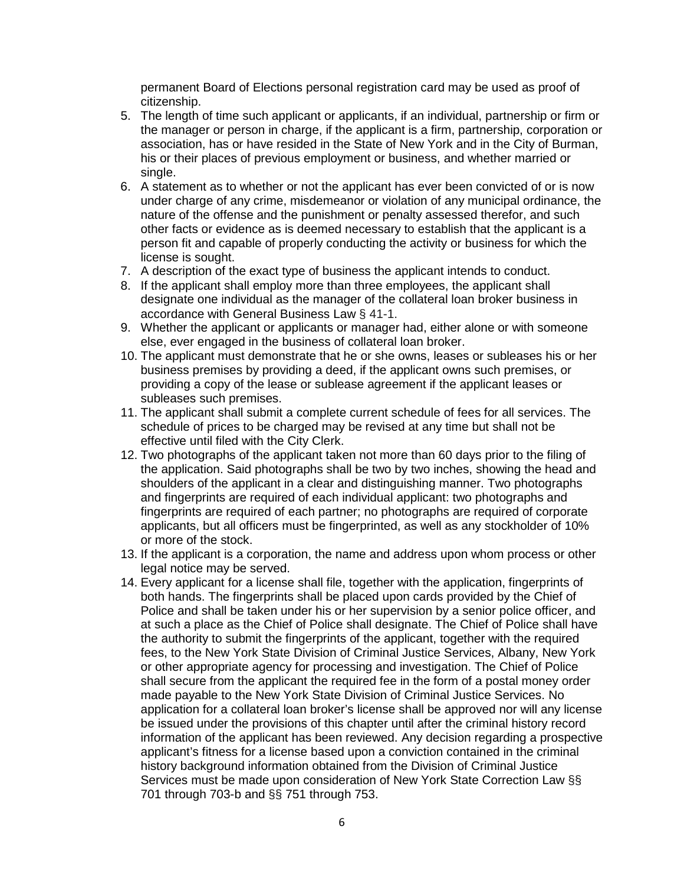permanent Board of Elections personal registration card may be used as proof of citizenship.

- 5. The length of time such applicant or applicants, if an individual, partnership or firm or the manager or person in charge, if the applicant is a firm, partnership, corporation or association, has or have resided in the State of New York and in the City of Burman, his or their places of previous employment or business, and whether married or single.
- 6. A statement as to whether or not the applicant has ever been convicted of or is now under charge of any crime, misdemeanor or violation of any municipal ordinance, the nature of the offense and the punishment or penalty assessed therefor, and such other facts or evidence as is deemed necessary to establish that the applicant is a person fit and capable of properly conducting the activity or business for which the license is sought.
- 7. A description of the exact type of business the applicant intends to conduct.
- 8. If the applicant shall employ more than three employees, the applicant shall designate one individual as the manager of the collateral loan broker business in accordance with General Business Law § 41-1.
- 9. Whether the applicant or applicants or manager had, either alone or with someone else, ever engaged in the business of collateral loan broker.
- 10. The applicant must demonstrate that he or she owns, leases or subleases his or her business premises by providing a deed, if the applicant owns such premises, or providing a copy of the lease or sublease agreement if the applicant leases or subleases such premises.
- 11. The applicant shall submit a complete current schedule of fees for all services. The schedule of prices to be charged may be revised at any time but shall not be effective until filed with the City Clerk.
- 12. Two photographs of the applicant taken not more than 60 days prior to the filing of the application. Said photographs shall be two by two inches, showing the head and shoulders of the applicant in a clear and distinguishing manner. Two photographs and fingerprints are required of each individual applicant: two photographs and fingerprints are required of each partner; no photographs are required of corporate applicants, but all officers must be fingerprinted, as well as any stockholder of 10% or more of the stock.
- 13. If the applicant is a corporation, the name and address upon whom process or other legal notice may be served.
- 14. Every applicant for a license shall file, together with the application, fingerprints of both hands. The fingerprints shall be placed upon cards provided by the Chief of Police and shall be taken under his or her supervision by a senior police officer, and at such a place as the Chief of Police shall designate. The Chief of Police shall have the authority to submit the fingerprints of the applicant, together with the required fees, to the New York State Division of Criminal Justice Services, Albany, New York or other appropriate agency for processing and investigation. The Chief of Police shall secure from the applicant the required fee in the form of a postal money order made payable to the New York State Division of Criminal Justice Services. No application for a collateral loan broker's license shall be approved nor will any license be issued under the provisions of this chapter until after the criminal history record information of the applicant has been reviewed. Any decision regarding a prospective applicant's fitness for a license based upon a conviction contained in the criminal history background information obtained from the Division of Criminal Justice Services must be made upon consideration of New York State Correction Law §§ 701 through 703-b and §§ 751 through 753.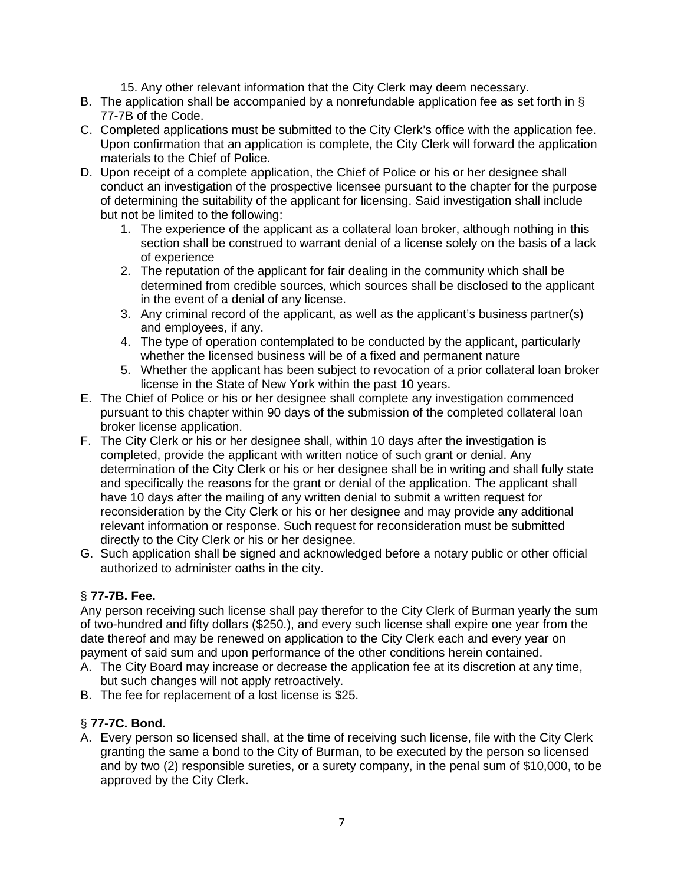- 15. Any other relevant information that the City Clerk may deem necessary.
- B. The application shall be accompanied by a nonrefundable application fee as set forth in  $\S$ 77-7B of the Code.
- C. Completed applications must be submitted to the City Clerk's office with the application fee. Upon confirmation that an application is complete, the City Clerk will forward the application materials to the Chief of Police.
- D. Upon receipt of a complete application, the Chief of Police or his or her designee shall conduct an investigation of the prospective licensee pursuant to the chapter for the purpose of determining the suitability of the applicant for licensing. Said investigation shall include but not be limited to the following:
	- 1. The experience of the applicant as a collateral loan broker, although nothing in this section shall be construed to warrant denial of a license solely on the basis of a lack of experience
	- 2. The reputation of the applicant for fair dealing in the community which shall be determined from credible sources, which sources shall be disclosed to the applicant in the event of a denial of any license.
	- 3. Any criminal record of the applicant, as well as the applicant's business partner(s) and employees, if any.
	- 4. The type of operation contemplated to be conducted by the applicant, particularly whether the licensed business will be of a fixed and permanent nature
	- 5. Whether the applicant has been subject to revocation of a prior collateral loan broker license in the State of New York within the past 10 years.
- E. The Chief of Police or his or her designee shall complete any investigation commenced pursuant to this chapter within 90 days of the submission of the completed collateral loan broker license application.
- F. The City Clerk or his or her designee shall, within 10 days after the investigation is completed, provide the applicant with written notice of such grant or denial. Any determination of the City Clerk or his or her designee shall be in writing and shall fully state and specifically the reasons for the grant or denial of the application. The applicant shall have 10 days after the mailing of any written denial to submit a written request for reconsideration by the City Clerk or his or her designee and may provide any additional relevant information or response. Such request for reconsideration must be submitted directly to the City Clerk or his or her designee.
- G. Such application shall be signed and acknowledged before a notary public or other official authorized to administer oaths in the city.

# § **77-7B. Fee.**

Any person receiving such license shall pay therefor to the City Clerk of Burman yearly the sum of two-hundred and fifty dollars (\$250.), and every such license shall expire one year from the date thereof and may be renewed on application to the City Clerk each and every year on payment of said sum and upon performance of the other conditions herein contained.

- A. The City Board may increase or decrease the application fee at its discretion at any time, but such changes will not apply retroactively.
- B. The fee for replacement of a lost license is \$25.

# § **77-7C. Bond.**

A. Every person so licensed shall, at the time of receiving such license, file with the City Clerk granting the same a bond to the City of Burman, to be executed by the person so licensed and by two (2) responsible sureties, or a surety company, in the penal sum of \$10,000, to be approved by the City Clerk.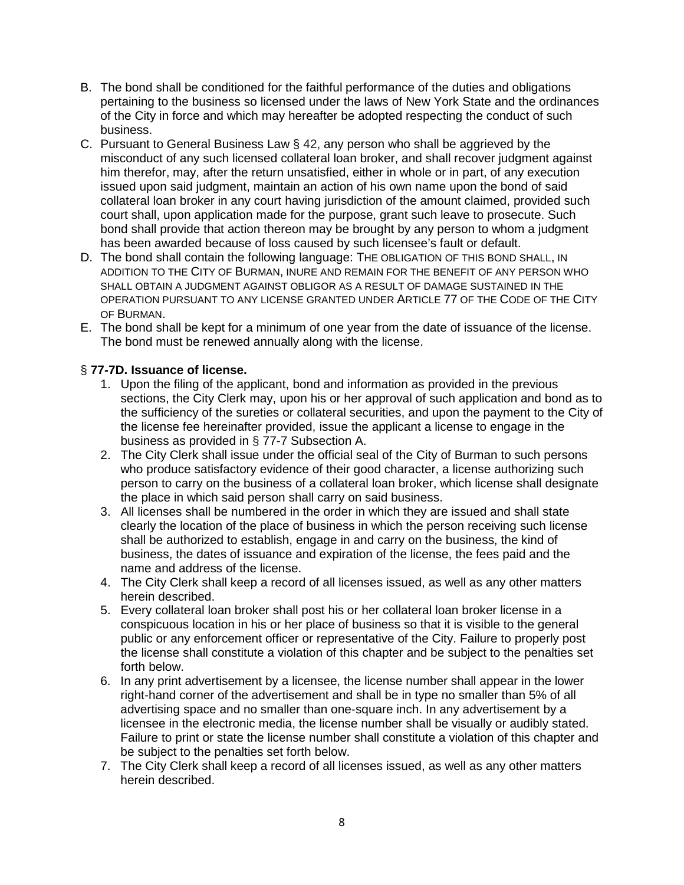- B. The bond shall be conditioned for the faithful performance of the duties and obligations pertaining to the business so licensed under the laws of New York State and the ordinances of the City in force and which may hereafter be adopted respecting the conduct of such business.
- C. Pursuant to General Business Law § 42, any person who shall be aggrieved by the misconduct of any such licensed collateral loan broker, and shall recover judgment against him therefor, may, after the return unsatisfied, either in whole or in part, of any execution issued upon said judgment, maintain an action of his own name upon the bond of said collateral loan broker in any court having jurisdiction of the amount claimed, provided such court shall, upon application made for the purpose, grant such leave to prosecute. Such bond shall provide that action thereon may be brought by any person to whom a judgment has been awarded because of loss caused by such licensee's fault or default.
- D. The bond shall contain the following language: THE OBLIGATION OF THIS BOND SHALL, IN ADDITION TO THE CITY OF BURMAN, INURE AND REMAIN FOR THE BENEFIT OF ANY PERSON WHO SHALL OBTAIN A JUDGMENT AGAINST OBLIGOR AS A RESULT OF DAMAGE SUSTAINED IN THE OPERATION PURSUANT TO ANY LICENSE GRANTED UNDER ARTICLE 77 OF THE CODE OF THE CITY OF BURMAN.
- E. The bond shall be kept for a minimum of one year from the date of issuance of the license. The bond must be renewed annually along with the license.

### § **77-7D. Issuance of license.**

- 1. Upon the filing of the applicant, bond and information as provided in the previous sections, the City Clerk may, upon his or her approval of such application and bond as to the sufficiency of the sureties or collateral securities, and upon the payment to the City of the license fee hereinafter provided, issue the applicant a license to engage in the business as provided in § 77-7 Subsection A.
- 2. The City Clerk shall issue under the official seal of the City of Burman to such persons who produce satisfactory evidence of their good character, a license authorizing such person to carry on the business of a collateral loan broker, which license shall designate the place in which said person shall carry on said business.
- 3. All licenses shall be numbered in the order in which they are issued and shall state clearly the location of the place of business in which the person receiving such license shall be authorized to establish, engage in and carry on the business, the kind of business, the dates of issuance and expiration of the license, the fees paid and the name and address of the license.
- 4. The City Clerk shall keep a record of all licenses issued, as well as any other matters herein described.
- 5. Every collateral loan broker shall post his or her collateral loan broker license in a conspicuous location in his or her place of business so that it is visible to the general public or any enforcement officer or representative of the City. Failure to properly post the license shall constitute a violation of this chapter and be subject to the penalties set forth below.
- 6. In any print advertisement by a licensee, the license number shall appear in the lower right-hand corner of the advertisement and shall be in type no smaller than 5% of all advertising space and no smaller than one-square inch. In any advertisement by a licensee in the electronic media, the license number shall be visually or audibly stated. Failure to print or state the license number shall constitute a violation of this chapter and be subject to the penalties set forth below.
- 7. The City Clerk shall keep a record of all licenses issued, as well as any other matters herein described.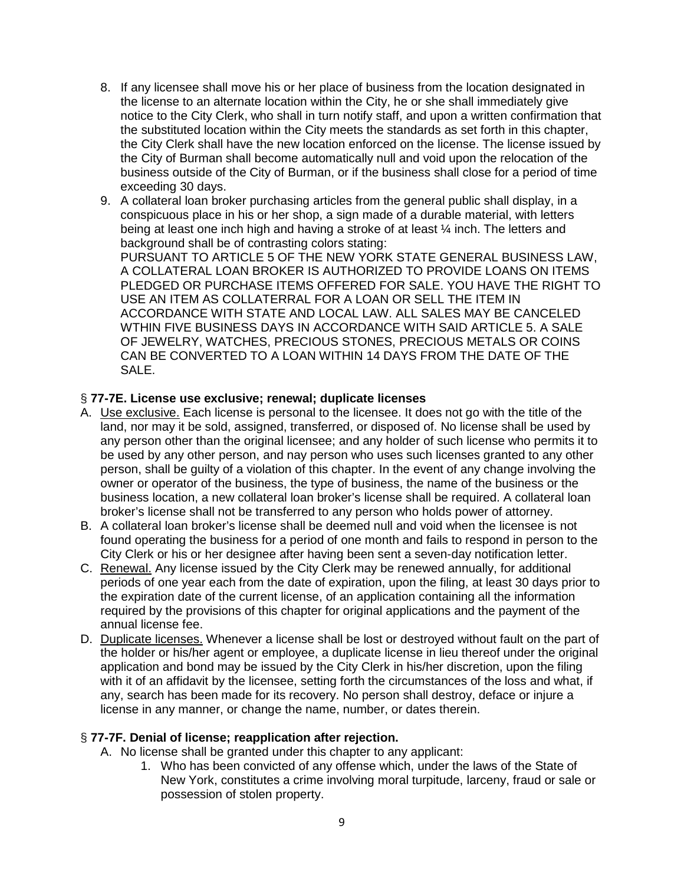- 8. If any licensee shall move his or her place of business from the location designated in the license to an alternate location within the City, he or she shall immediately give notice to the City Clerk, who shall in turn notify staff, and upon a written confirmation that the substituted location within the City meets the standards as set forth in this chapter, the City Clerk shall have the new location enforced on the license. The license issued by the City of Burman shall become automatically null and void upon the relocation of the business outside of the City of Burman, or if the business shall close for a period of time exceeding 30 days.
- 9. A collateral loan broker purchasing articles from the general public shall display, in a conspicuous place in his or her shop, a sign made of a durable material, with letters being at least one inch high and having a stroke of at least ¼ inch. The letters and background shall be of contrasting colors stating: PURSUANT TO ARTICLE 5 OF THE NEW YORK STATE GENERAL BUSINESS LAW, A COLLATERAL LOAN BROKER IS AUTHORIZED TO PROVIDE LOANS ON ITEMS PLEDGED OR PURCHASE ITEMS OFFERED FOR SALE. YOU HAVE THE RIGHT TO USE AN ITEM AS COLLATERRAL FOR A LOAN OR SELL THE ITEM IN ACCORDANCE WITH STATE AND LOCAL LAW. ALL SALES MAY BE CANCELED WTHIN FIVE BUSINESS DAYS IN ACCORDANCE WITH SAID ARTICLE 5. A SALE OF JEWELRY, WATCHES, PRECIOUS STONES, PRECIOUS METALS OR COINS CAN BE CONVERTED TO A LOAN WITHIN 14 DAYS FROM THE DATE OF THE SALE.

### § **77-7E. License use exclusive; renewal; duplicate licenses**

- A. Use exclusive. Each license is personal to the licensee. It does not go with the title of the land, nor may it be sold, assigned, transferred, or disposed of. No license shall be used by any person other than the original licensee; and any holder of such license who permits it to be used by any other person, and nay person who uses such licenses granted to any other person, shall be guilty of a violation of this chapter. In the event of any change involving the owner or operator of the business, the type of business, the name of the business or the business location, a new collateral loan broker's license shall be required. A collateral loan broker's license shall not be transferred to any person who holds power of attorney.
- B. A collateral loan broker's license shall be deemed null and void when the licensee is not found operating the business for a period of one month and fails to respond in person to the City Clerk or his or her designee after having been sent a seven-day notification letter.
- C. Renewal. Any license issued by the City Clerk may be renewed annually, for additional periods of one year each from the date of expiration, upon the filing, at least 30 days prior to the expiration date of the current license, of an application containing all the information required by the provisions of this chapter for original applications and the payment of the annual license fee.
- D. Duplicate licenses. Whenever a license shall be lost or destroyed without fault on the part of the holder or his/her agent or employee, a duplicate license in lieu thereof under the original application and bond may be issued by the City Clerk in his/her discretion, upon the filing with it of an affidavit by the licensee, setting forth the circumstances of the loss and what, if any, search has been made for its recovery. No person shall destroy, deface or injure a license in any manner, or change the name, number, or dates therein.

#### § **77-7F. Denial of license; reapplication after rejection.**

- A. No license shall be granted under this chapter to any applicant:
	- 1. Who has been convicted of any offense which, under the laws of the State of New York, constitutes a crime involving moral turpitude, larceny, fraud or sale or possession of stolen property.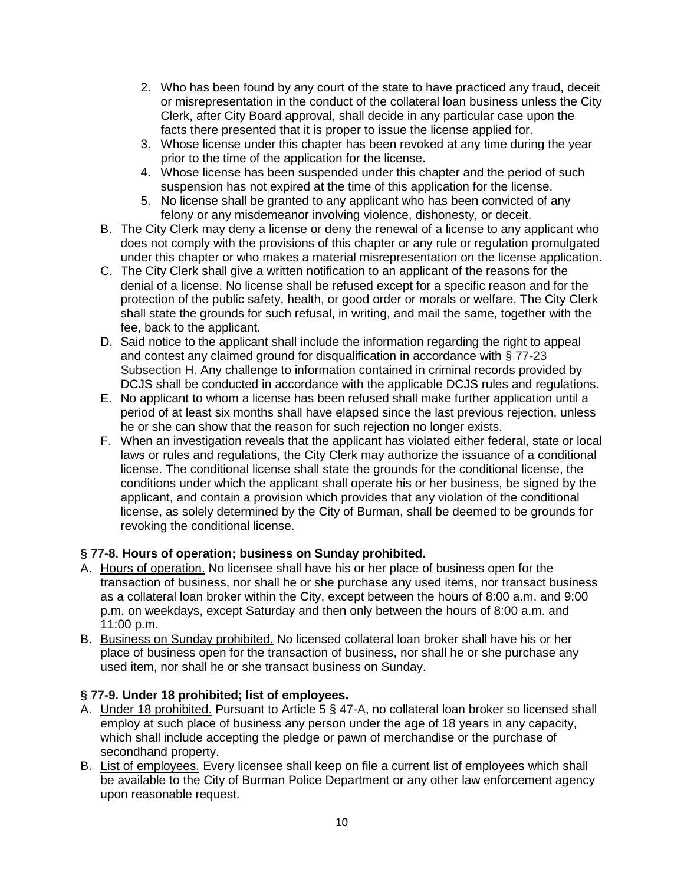- 2. Who has been found by any court of the state to have practiced any fraud, deceit or misrepresentation in the conduct of the collateral loan business unless the City Clerk, after City Board approval, shall decide in any particular case upon the facts there presented that it is proper to issue the license applied for.
- 3. Whose license under this chapter has been revoked at any time during the year prior to the time of the application for the license.
- 4. Whose license has been suspended under this chapter and the period of such suspension has not expired at the time of this application for the license.
- 5. No license shall be granted to any applicant who has been convicted of any felony or any misdemeanor involving violence, dishonesty, or deceit.
- B. The City Clerk may deny a license or deny the renewal of a license to any applicant who does not comply with the provisions of this chapter or any rule or regulation promulgated under this chapter or who makes a material misrepresentation on the license application.
- C. The City Clerk shall give a written notification to an applicant of the reasons for the denial of a license. No license shall be refused except for a specific reason and for the protection of the public safety, health, or good order or morals or welfare. The City Clerk shall state the grounds for such refusal, in writing, and mail the same, together with the fee, back to the applicant.
- D. Said notice to the applicant shall include the information regarding the right to appeal and contest any claimed ground for disqualification in accordance with § 77-23 Subsection H. Any challenge to information contained in criminal records provided by DCJS shall be conducted in accordance with the applicable DCJS rules and regulations.
- E. No applicant to whom a license has been refused shall make further application until a period of at least six months shall have elapsed since the last previous rejection, unless he or she can show that the reason for such rejection no longer exists.
- F. When an investigation reveals that the applicant has violated either federal, state or local laws or rules and regulations, the City Clerk may authorize the issuance of a conditional license. The conditional license shall state the grounds for the conditional license, the conditions under which the applicant shall operate his or her business, be signed by the applicant, and contain a provision which provides that any violation of the conditional license, as solely determined by the City of Burman, shall be deemed to be grounds for revoking the conditional license.

# **§ 77-8. Hours of operation; business on Sunday prohibited.**

- A. Hours of operation. No licensee shall have his or her place of business open for the transaction of business, nor shall he or she purchase any used items, nor transact business as a collateral loan broker within the City, except between the hours of 8:00 a.m. and 9:00 p.m. on weekdays, except Saturday and then only between the hours of 8:00 a.m. and 11:00 p.m.
- B. Business on Sunday prohibited. No licensed collateral loan broker shall have his or her place of business open for the transaction of business, nor shall he or she purchase any used item, nor shall he or she transact business on Sunday.

# **§ 77-9. Under 18 prohibited; list of employees.**

- A. Under 18 prohibited. Pursuant to Article 5 § 47-A, no collateral loan broker so licensed shall employ at such place of business any person under the age of 18 years in any capacity, which shall include accepting the pledge or pawn of merchandise or the purchase of secondhand property.
- B. List of employees. Every licensee shall keep on file a current list of employees which shall be available to the City of Burman Police Department or any other law enforcement agency upon reasonable request.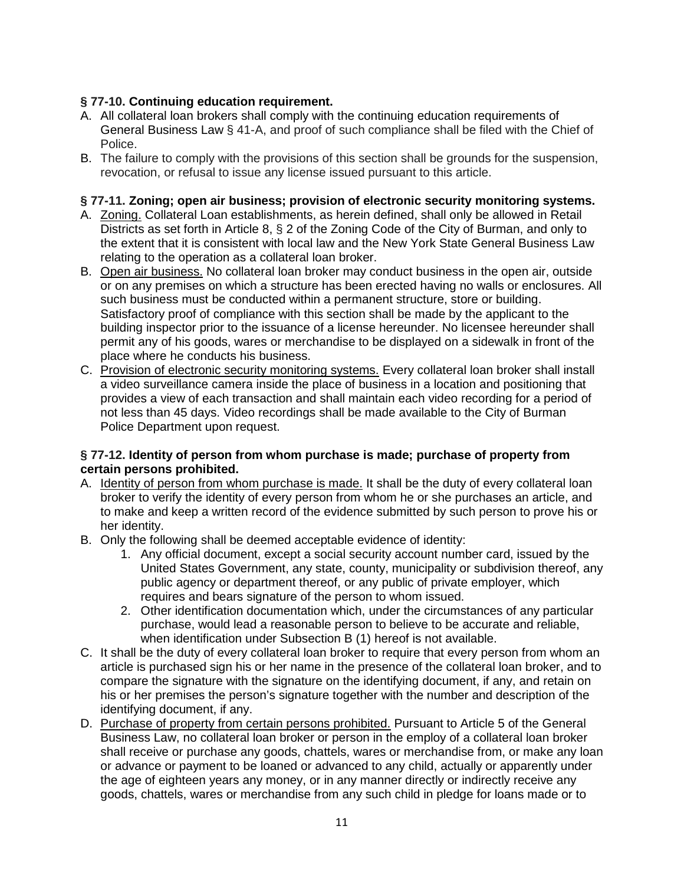# **§ 77-10. Continuing education requirement.**

- A. All collateral loan brokers shall comply with the continuing education requirements of General Business Law § 41-A, and proof of such compliance shall be filed with the Chief of Police.
- B. The failure to comply with the provisions of this section shall be grounds for the suspension, revocation, or refusal to issue any license issued pursuant to this article.

# **§ 77-11. Zoning; open air business; provision of electronic security monitoring systems.**

- A. Zoning. Collateral Loan establishments, as herein defined, shall only be allowed in Retail Districts as set forth in Article 8, § 2 of the Zoning Code of the City of Burman, and only to the extent that it is consistent with local law and the New York State General Business Law relating to the operation as a collateral loan broker.
- B. Open air business. No collateral loan broker may conduct business in the open air, outside or on any premises on which a structure has been erected having no walls or enclosures. All such business must be conducted within a permanent structure, store or building. Satisfactory proof of compliance with this section shall be made by the applicant to the building inspector prior to the issuance of a license hereunder. No licensee hereunder shall permit any of his goods, wares or merchandise to be displayed on a sidewalk in front of the place where he conducts his business.
- C. Provision of electronic security monitoring systems. Every collateral loan broker shall install a video surveillance camera inside the place of business in a location and positioning that provides a view of each transaction and shall maintain each video recording for a period of not less than 45 days. Video recordings shall be made available to the City of Burman Police Department upon request.

### **§ 77-12. Identity of person from whom purchase is made; purchase of property from certain persons prohibited.**

- A. Identity of person from whom purchase is made. It shall be the duty of every collateral loan broker to verify the identity of every person from whom he or she purchases an article, and to make and keep a written record of the evidence submitted by such person to prove his or her identity.
- B. Only the following shall be deemed acceptable evidence of identity:
	- 1. Any official document, except a social security account number card, issued by the United States Government, any state, county, municipality or subdivision thereof, any public agency or department thereof, or any public of private employer, which requires and bears signature of the person to whom issued.
	- 2. Other identification documentation which, under the circumstances of any particular purchase, would lead a reasonable person to believe to be accurate and reliable, when identification under Subsection B (1) hereof is not available.
- C. It shall be the duty of every collateral loan broker to require that every person from whom an article is purchased sign his or her name in the presence of the collateral loan broker, and to compare the signature with the signature on the identifying document, if any, and retain on his or her premises the person's signature together with the number and description of the identifying document, if any.
- D. Purchase of property from certain persons prohibited. Pursuant to Article 5 of the General Business Law, no collateral loan broker or person in the employ of a collateral loan broker shall receive or purchase any goods, chattels, wares or merchandise from, or make any loan or advance or payment to be loaned or advanced to any child, actually or apparently under the age of eighteen years any money, or in any manner directly or indirectly receive any goods, chattels, wares or merchandise from any such child in pledge for loans made or to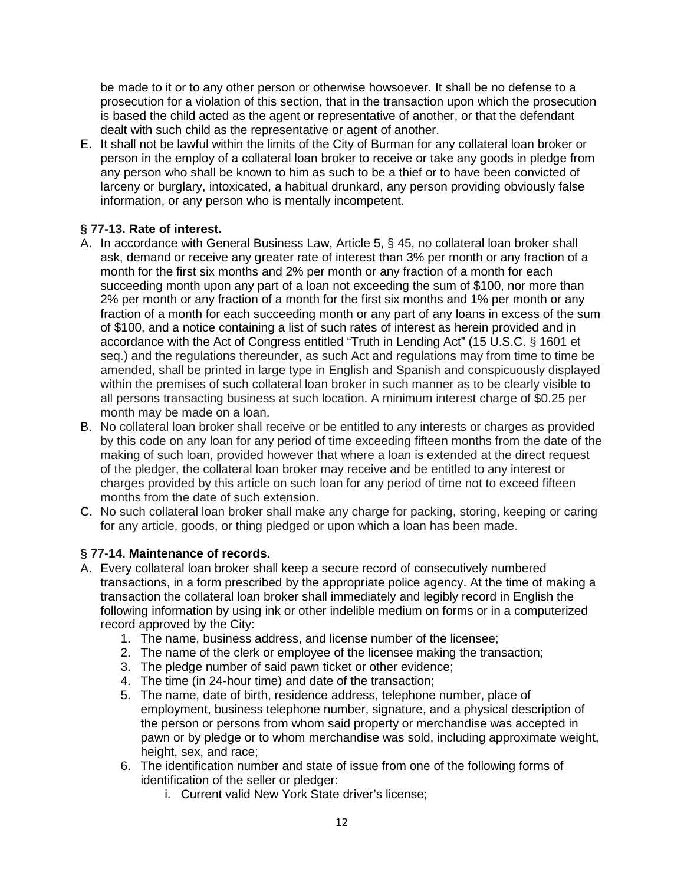be made to it or to any other person or otherwise howsoever. It shall be no defense to a prosecution for a violation of this section, that in the transaction upon which the prosecution is based the child acted as the agent or representative of another, or that the defendant dealt with such child as the representative or agent of another.

E. It shall not be lawful within the limits of the City of Burman for any collateral loan broker or person in the employ of a collateral loan broker to receive or take any goods in pledge from any person who shall be known to him as such to be a thief or to have been convicted of larceny or burglary, intoxicated, a habitual drunkard, any person providing obviously false information, or any person who is mentally incompetent.

# **§ 77-13. Rate of interest.**

- A. In accordance with General Business Law, Article 5, § 45, no collateral loan broker shall ask, demand or receive any greater rate of interest than 3% per month or any fraction of a month for the first six months and 2% per month or any fraction of a month for each succeeding month upon any part of a loan not exceeding the sum of \$100, nor more than 2% per month or any fraction of a month for the first six months and 1% per month or any fraction of a month for each succeeding month or any part of any loans in excess of the sum of \$100, and a notice containing a list of such rates of interest as herein provided and in accordance with the Act of Congress entitled "Truth in Lending Act" (15 U.S.C. § 1601 et seq.) and the regulations thereunder, as such Act and regulations may from time to time be amended, shall be printed in large type in English and Spanish and conspicuously displayed within the premises of such collateral loan broker in such manner as to be clearly visible to all persons transacting business at such location. A minimum interest charge of \$0.25 per month may be made on a loan.
- B. No collateral loan broker shall receive or be entitled to any interests or charges as provided by this code on any loan for any period of time exceeding fifteen months from the date of the making of such loan, provided however that where a loan is extended at the direct request of the pledger, the collateral loan broker may receive and be entitled to any interest or charges provided by this article on such loan for any period of time not to exceed fifteen months from the date of such extension.
- C. No such collateral loan broker shall make any charge for packing, storing, keeping or caring for any article, goods, or thing pledged or upon which a loan has been made.

# **§ 77-14. Maintenance of records.**

- A. Every collateral loan broker shall keep a secure record of consecutively numbered transactions, in a form prescribed by the appropriate police agency. At the time of making a transaction the collateral loan broker shall immediately and legibly record in English the following information by using ink or other indelible medium on forms or in a computerized record approved by the City:
	- 1. The name, business address, and license number of the licensee;
	- 2. The name of the clerk or employee of the licensee making the transaction;
	- 3. The pledge number of said pawn ticket or other evidence;
	- 4. The time (in 24-hour time) and date of the transaction;
	- 5. The name, date of birth, residence address, telephone number, place of employment, business telephone number, signature, and a physical description of the person or persons from whom said property or merchandise was accepted in pawn or by pledge or to whom merchandise was sold, including approximate weight, height, sex, and race;
	- 6. The identification number and state of issue from one of the following forms of identification of the seller or pledger:
		- i. Current valid New York State driver's license;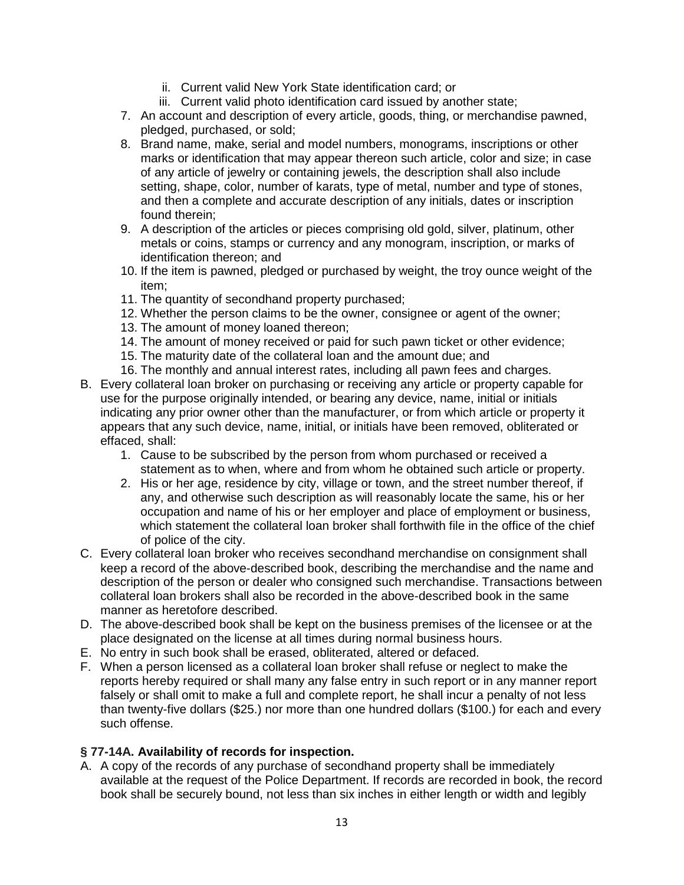- ii. Current valid New York State identification card; or
- iii. Current valid photo identification card issued by another state;
- 7. An account and description of every article, goods, thing, or merchandise pawned, pledged, purchased, or sold;
- 8. Brand name, make, serial and model numbers, monograms, inscriptions or other marks or identification that may appear thereon such article, color and size; in case of any article of jewelry or containing jewels, the description shall also include setting, shape, color, number of karats, type of metal, number and type of stones, and then a complete and accurate description of any initials, dates or inscription found therein;
- 9. A description of the articles or pieces comprising old gold, silver, platinum, other metals or coins, stamps or currency and any monogram, inscription, or marks of identification thereon; and
- 10. If the item is pawned, pledged or purchased by weight, the troy ounce weight of the item;
- 11. The quantity of secondhand property purchased;
- 12. Whether the person claims to be the owner, consignee or agent of the owner;
- 13. The amount of money loaned thereon;
- 14. The amount of money received or paid for such pawn ticket or other evidence;
- 15. The maturity date of the collateral loan and the amount due; and
- 16. The monthly and annual interest rates, including all pawn fees and charges.
- B. Every collateral loan broker on purchasing or receiving any article or property capable for use for the purpose originally intended, or bearing any device, name, initial or initials indicating any prior owner other than the manufacturer, or from which article or property it appears that any such device, name, initial, or initials have been removed, obliterated or effaced, shall:
	- 1. Cause to be subscribed by the person from whom purchased or received a statement as to when, where and from whom he obtained such article or property.
	- 2. His or her age, residence by city, village or town, and the street number thereof, if any, and otherwise such description as will reasonably locate the same, his or her occupation and name of his or her employer and place of employment or business, which statement the collateral loan broker shall forthwith file in the office of the chief of police of the city.
- C. Every collateral loan broker who receives secondhand merchandise on consignment shall keep a record of the above-described book, describing the merchandise and the name and description of the person or dealer who consigned such merchandise. Transactions between collateral loan brokers shall also be recorded in the above-described book in the same manner as heretofore described.
- D. The above-described book shall be kept on the business premises of the licensee or at the place designated on the license at all times during normal business hours.
- E. No entry in such book shall be erased, obliterated, altered or defaced.
- F. When a person licensed as a collateral loan broker shall refuse or neglect to make the reports hereby required or shall many any false entry in such report or in any manner report falsely or shall omit to make a full and complete report, he shall incur a penalty of not less than twenty-five dollars (\$25.) nor more than one hundred dollars (\$100.) for each and every such offense.

# **§ 77-14A. Availability of records for inspection.**

A. A copy of the records of any purchase of secondhand property shall be immediately available at the request of the Police Department. If records are recorded in book, the record book shall be securely bound, not less than six inches in either length or width and legibly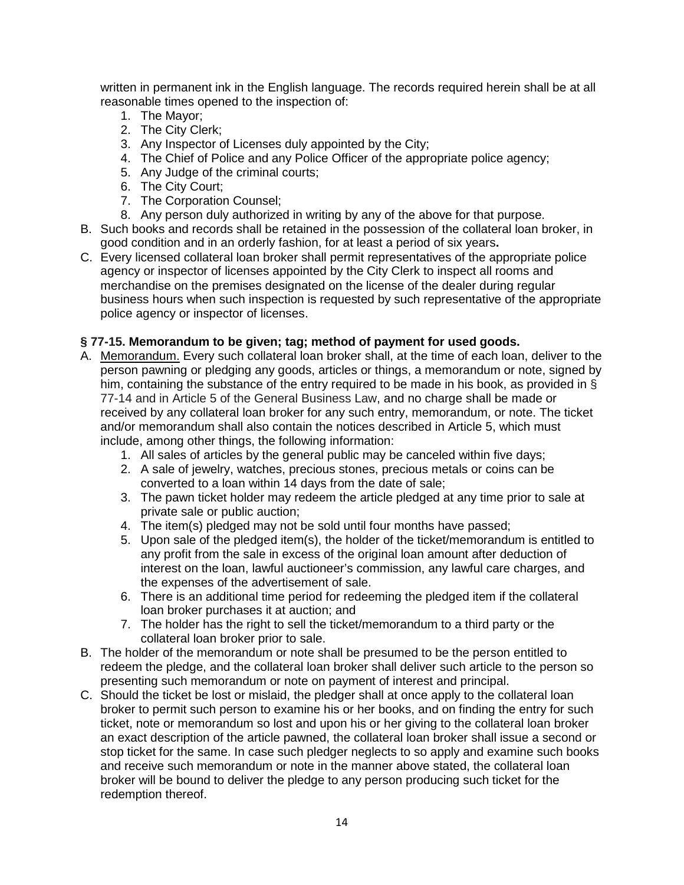written in permanent ink in the English language. The records required herein shall be at all reasonable times opened to the inspection of:

- 1. The Mayor;
- 2. The City Clerk;
- 3. Any Inspector of Licenses duly appointed by the City;
- 4. The Chief of Police and any Police Officer of the appropriate police agency;
- 5. Any Judge of the criminal courts;
- 6. The City Court;
- 7. The Corporation Counsel;
- 8. Any person duly authorized in writing by any of the above for that purpose.
- B. Such books and records shall be retained in the possession of the collateral loan broker, in good condition and in an orderly fashion, for at least a period of six years**.**
- C. Every licensed collateral loan broker shall permit representatives of the appropriate police agency or inspector of licenses appointed by the City Clerk to inspect all rooms and merchandise on the premises designated on the license of the dealer during regular business hours when such inspection is requested by such representative of the appropriate police agency or inspector of licenses.

### **§ 77-15. Memorandum to be given; tag; method of payment for used goods.**

- A. Memorandum. Every such collateral loan broker shall, at the time of each loan, deliver to the person pawning or pledging any goods, articles or things, a memorandum or note, signed by him, containing the substance of the entry required to be made in his book, as provided in § 77-14 and in Article 5 of the General Business Law, and no charge shall be made or received by any collateral loan broker for any such entry, memorandum, or note. The ticket and/or memorandum shall also contain the notices described in Article 5, which must include, among other things, the following information:
	- 1. All sales of articles by the general public may be canceled within five days;
	- 2. A sale of jewelry, watches, precious stones, precious metals or coins can be converted to a loan within 14 days from the date of sale;
	- 3. The pawn ticket holder may redeem the article pledged at any time prior to sale at private sale or public auction;
	- 4. The item(s) pledged may not be sold until four months have passed;
	- 5. Upon sale of the pledged item(s), the holder of the ticket/memorandum is entitled to any profit from the sale in excess of the original loan amount after deduction of interest on the loan, lawful auctioneer's commission, any lawful care charges, and the expenses of the advertisement of sale.
	- 6. There is an additional time period for redeeming the pledged item if the collateral loan broker purchases it at auction; and
	- 7. The holder has the right to sell the ticket/memorandum to a third party or the collateral loan broker prior to sale.
- B. The holder of the memorandum or note shall be presumed to be the person entitled to redeem the pledge, and the collateral loan broker shall deliver such article to the person so presenting such memorandum or note on payment of interest and principal.
- C. Should the ticket be lost or mislaid, the pledger shall at once apply to the collateral loan broker to permit such person to examine his or her books, and on finding the entry for such ticket, note or memorandum so lost and upon his or her giving to the collateral loan broker an exact description of the article pawned, the collateral loan broker shall issue a second or stop ticket for the same. In case such pledger neglects to so apply and examine such books and receive such memorandum or note in the manner above stated, the collateral loan broker will be bound to deliver the pledge to any person producing such ticket for the redemption thereof.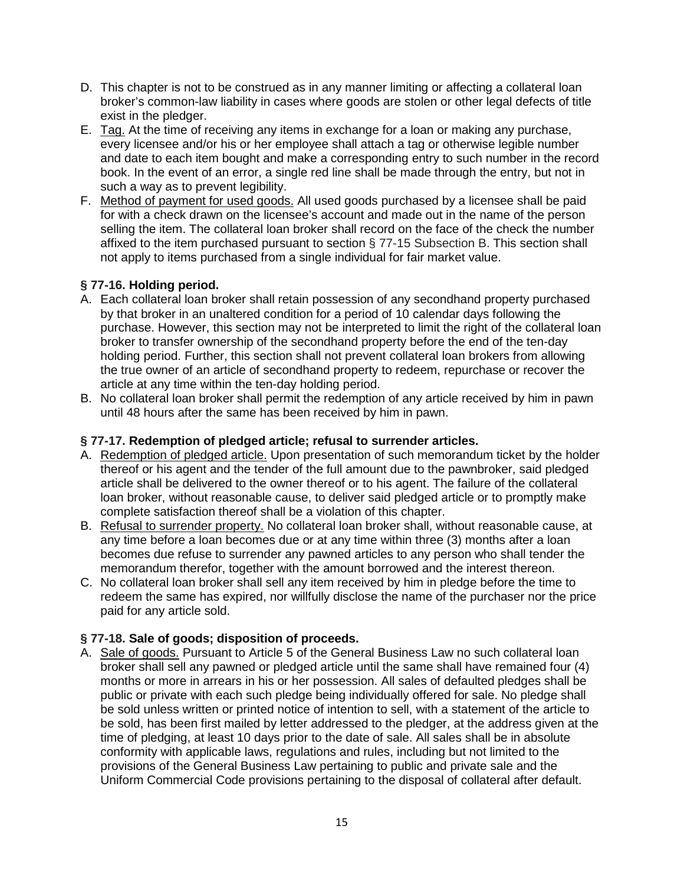- D. This chapter is not to be construed as in any manner limiting or affecting a collateral loan broker's common-law liability in cases where goods are stolen or other legal defects of title exist in the pledger.
- E. Tag. At the time of receiving any items in exchange for a loan or making any purchase, every licensee and/or his or her employee shall attach a tag or otherwise legible number and date to each item bought and make a corresponding entry to such number in the record book. In the event of an error, a single red line shall be made through the entry, but not in such a way as to prevent legibility.
- F. Method of payment for used goods. All used goods purchased by a licensee shall be paid for with a check drawn on the licensee's account and made out in the name of the person selling the item. The collateral loan broker shall record on the face of the check the number affixed to the item purchased pursuant to section § 77-15 Subsection B. This section shall not apply to items purchased from a single individual for fair market value.

### **§ 77-16. Holding period.**

- A. Each collateral loan broker shall retain possession of any secondhand property purchased by that broker in an unaltered condition for a period of 10 calendar days following the purchase. However, this section may not be interpreted to limit the right of the collateral loan broker to transfer ownership of the secondhand property before the end of the ten-day holding period. Further, this section shall not prevent collateral loan brokers from allowing the true owner of an article of secondhand property to redeem, repurchase or recover the article at any time within the ten-day holding period.
- B. No collateral loan broker shall permit the redemption of any article received by him in pawn until 48 hours after the same has been received by him in pawn.

### **§ 77-17. Redemption of pledged article; refusal to surrender articles.**

- A. Redemption of pledged article. Upon presentation of such memorandum ticket by the holder thereof or his agent and the tender of the full amount due to the pawnbroker, said pledged article shall be delivered to the owner thereof or to his agent. The failure of the collateral loan broker, without reasonable cause, to deliver said pledged article or to promptly make complete satisfaction thereof shall be a violation of this chapter.
- B. Refusal to surrender property. No collateral loan broker shall, without reasonable cause, at any time before a loan becomes due or at any time within three (3) months after a loan becomes due refuse to surrender any pawned articles to any person who shall tender the memorandum therefor, together with the amount borrowed and the interest thereon.
- C. No collateral loan broker shall sell any item received by him in pledge before the time to redeem the same has expired, nor willfully disclose the name of the purchaser nor the price paid for any article sold.

# **§ 77-18. Sale of goods; disposition of proceeds.**

A. Sale of goods. Pursuant to Article 5 of the General Business Law no such collateral loan broker shall sell any pawned or pledged article until the same shall have remained four (4) months or more in arrears in his or her possession. All sales of defaulted pledges shall be public or private with each such pledge being individually offered for sale. No pledge shall be sold unless written or printed notice of intention to sell, with a statement of the article to be sold, has been first mailed by letter addressed to the pledger, at the address given at the time of pledging, at least 10 days prior to the date of sale. All sales shall be in absolute conformity with applicable laws, regulations and rules, including but not limited to the provisions of the General Business Law pertaining to public and private sale and the Uniform Commercial Code provisions pertaining to the disposal of collateral after default.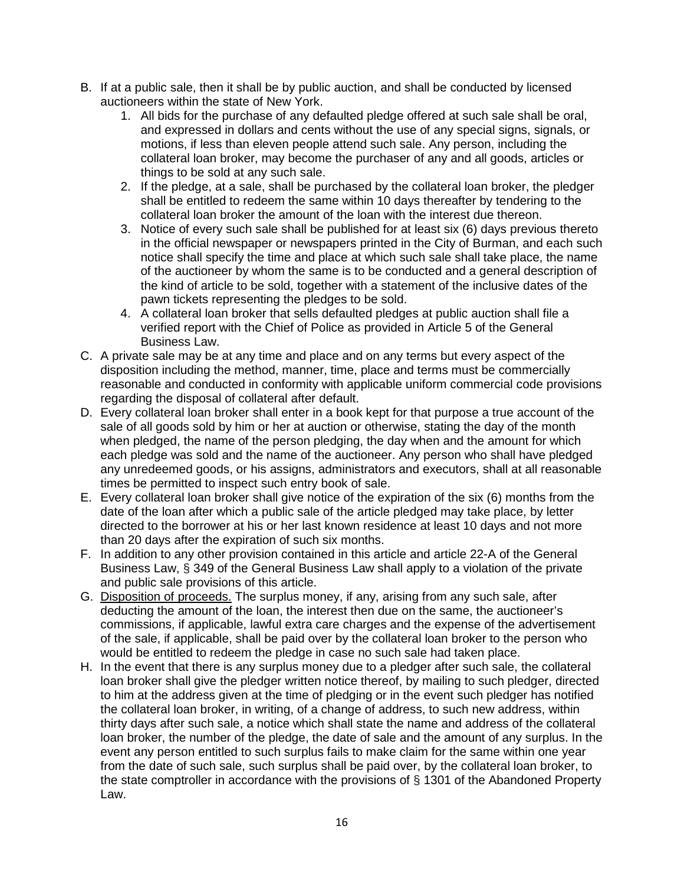- B. If at a public sale, then it shall be by public auction, and shall be conducted by licensed auctioneers within the state of New York.
	- 1. All bids for the purchase of any defaulted pledge offered at such sale shall be oral, and expressed in dollars and cents without the use of any special signs, signals, or motions, if less than eleven people attend such sale. Any person, including the collateral loan broker, may become the purchaser of any and all goods, articles or things to be sold at any such sale.
	- 2. If the pledge, at a sale, shall be purchased by the collateral loan broker, the pledger shall be entitled to redeem the same within 10 days thereafter by tendering to the collateral loan broker the amount of the loan with the interest due thereon.
	- 3. Notice of every such sale shall be published for at least six (6) days previous thereto in the official newspaper or newspapers printed in the City of Burman, and each such notice shall specify the time and place at which such sale shall take place, the name of the auctioneer by whom the same is to be conducted and a general description of the kind of article to be sold, together with a statement of the inclusive dates of the pawn tickets representing the pledges to be sold.
	- 4. A collateral loan broker that sells defaulted pledges at public auction shall file a verified report with the Chief of Police as provided in Article 5 of the General Business Law.
- C. A private sale may be at any time and place and on any terms but every aspect of the disposition including the method, manner, time, place and terms must be commercially reasonable and conducted in conformity with applicable uniform commercial code provisions regarding the disposal of collateral after default.
- D. Every collateral loan broker shall enter in a book kept for that purpose a true account of the sale of all goods sold by him or her at auction or otherwise, stating the day of the month when pledged, the name of the person pledging, the day when and the amount for which each pledge was sold and the name of the auctioneer. Any person who shall have pledged any unredeemed goods, or his assigns, administrators and executors, shall at all reasonable times be permitted to inspect such entry book of sale.
- E. Every collateral loan broker shall give notice of the expiration of the six (6) months from the date of the loan after which a public sale of the article pledged may take place, by letter directed to the borrower at his or her last known residence at least 10 days and not more than 20 days after the expiration of such six months.
- F. In addition to any other provision contained in this article and article 22-A of the General Business Law, § 349 of the General Business Law shall apply to a violation of the private and public sale provisions of this article.
- G. Disposition of proceeds. The surplus money, if any, arising from any such sale, after deducting the amount of the loan, the interest then due on the same, the auctioneer's commissions, if applicable, lawful extra care charges and the expense of the advertisement of the sale, if applicable, shall be paid over by the collateral loan broker to the person who would be entitled to redeem the pledge in case no such sale had taken place.
- H. In the event that there is any surplus money due to a pledger after such sale, the collateral loan broker shall give the pledger written notice thereof, by mailing to such pledger, directed to him at the address given at the time of pledging or in the event such pledger has notified the collateral loan broker, in writing, of a change of address, to such new address, within thirty days after such sale, a notice which shall state the name and address of the collateral loan broker, the number of the pledge, the date of sale and the amount of any surplus. In the event any person entitled to such surplus fails to make claim for the same within one year from the date of such sale, such surplus shall be paid over, by the collateral loan broker, to the state comptroller in accordance with the provisions of § 1301 of the Abandoned Property Law.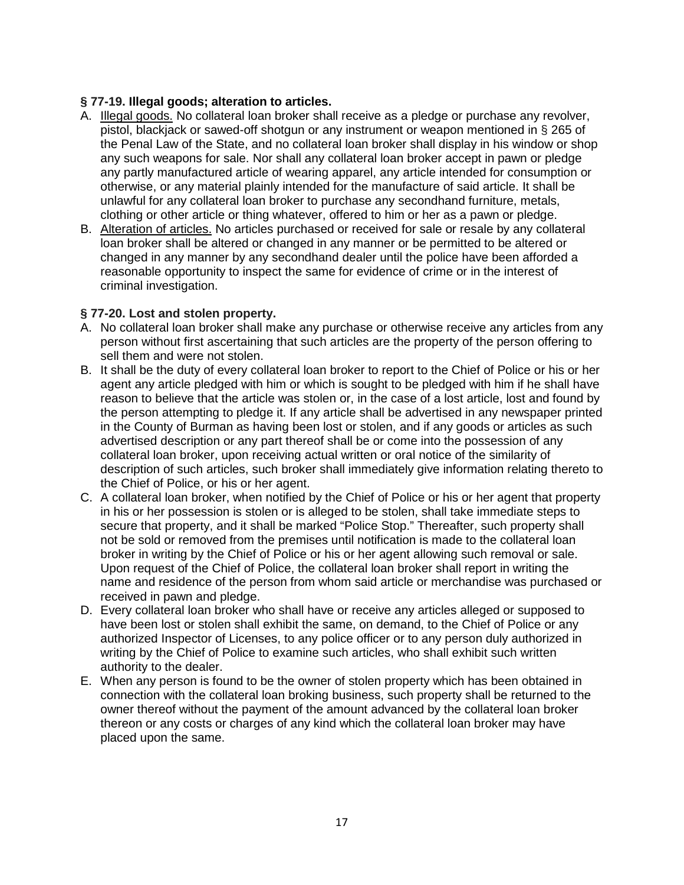### **§ 77-19. Illegal goods; alteration to articles.**

- A. Illegal goods. No collateral loan broker shall receive as a pledge or purchase any revolver, pistol, blackjack or sawed-off shotgun or any instrument or weapon mentioned in § 265 of the Penal Law of the State, and no collateral loan broker shall display in his window or shop any such weapons for sale. Nor shall any collateral loan broker accept in pawn or pledge any partly manufactured article of wearing apparel, any article intended for consumption or otherwise, or any material plainly intended for the manufacture of said article. It shall be unlawful for any collateral loan broker to purchase any secondhand furniture, metals, clothing or other article or thing whatever, offered to him or her as a pawn or pledge.
- B. Alteration of articles. No articles purchased or received for sale or resale by any collateral loan broker shall be altered or changed in any manner or be permitted to be altered or changed in any manner by any secondhand dealer until the police have been afforded a reasonable opportunity to inspect the same for evidence of crime or in the interest of criminal investigation.

### **§ 77-20. Lost and stolen property.**

- A. No collateral loan broker shall make any purchase or otherwise receive any articles from any person without first ascertaining that such articles are the property of the person offering to sell them and were not stolen.
- B. It shall be the duty of every collateral loan broker to report to the Chief of Police or his or her agent any article pledged with him or which is sought to be pledged with him if he shall have reason to believe that the article was stolen or, in the case of a lost article, lost and found by the person attempting to pledge it. If any article shall be advertised in any newspaper printed in the County of Burman as having been lost or stolen, and if any goods or articles as such advertised description or any part thereof shall be or come into the possession of any collateral loan broker, upon receiving actual written or oral notice of the similarity of description of such articles, such broker shall immediately give information relating thereto to the Chief of Police, or his or her agent.
- C. A collateral loan broker, when notified by the Chief of Police or his or her agent that property in his or her possession is stolen or is alleged to be stolen, shall take immediate steps to secure that property, and it shall be marked "Police Stop." Thereafter, such property shall not be sold or removed from the premises until notification is made to the collateral loan broker in writing by the Chief of Police or his or her agent allowing such removal or sale. Upon request of the Chief of Police, the collateral loan broker shall report in writing the name and residence of the person from whom said article or merchandise was purchased or received in pawn and pledge.
- D. Every collateral loan broker who shall have or receive any articles alleged or supposed to have been lost or stolen shall exhibit the same, on demand, to the Chief of Police or any authorized Inspector of Licenses, to any police officer or to any person duly authorized in writing by the Chief of Police to examine such articles, who shall exhibit such written authority to the dealer.
- E. When any person is found to be the owner of stolen property which has been obtained in connection with the collateral loan broking business, such property shall be returned to the owner thereof without the payment of the amount advanced by the collateral loan broker thereon or any costs or charges of any kind which the collateral loan broker may have placed upon the same.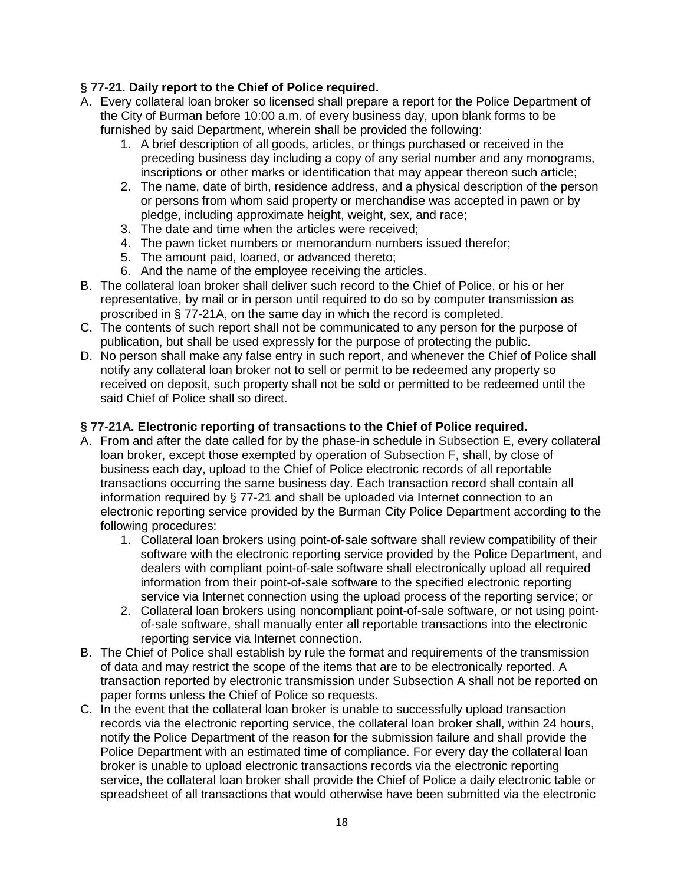# **§ 77-21. Daily report to the Chief of Police required.**

- A. Every collateral loan broker so licensed shall prepare a report for the Police Department of the City of Burman before 10:00 a.m. of every business day, upon blank forms to be furnished by said Department, wherein shall be provided the following:
	- 1. A brief description of all goods, articles, or things purchased or received in the preceding business day including a copy of any serial number and any monograms, inscriptions or other marks or identification that may appear thereon such article;
	- 2. The name, date of birth, residence address, and a physical description of the person or persons from whom said property or merchandise was accepted in pawn or by pledge, including approximate height, weight, sex, and race;
	- 3. The date and time when the articles were received;
	- 4. The pawn ticket numbers or memorandum numbers issued therefor;
	- 5. The amount paid, loaned, or advanced thereto;
	- 6. And the name of the employee receiving the articles.
- B. The collateral loan broker shall deliver such record to the Chief of Police, or his or her representative, by mail or in person until required to do so by computer transmission as proscribed in § 77-21A, on the same day in which the record is completed.
- C. The contents of such report shall not be communicated to any person for the purpose of publication, but shall be used expressly for the purpose of protecting the public.
- D. No person shall make any false entry in such report, and whenever the Chief of Police shall notify any collateral loan broker not to sell or permit to be redeemed any property so received on deposit, such property shall not be sold or permitted to be redeemed until the said Chief of Police shall so direct.

### **§ 77-21A. Electronic reporting of transactions to the Chief of Police required.**

- A. From and after the date called for by the phase-in schedule in Subsection E, every collateral loan broker, except those exempted by operation of Subsection F, shall, by close of business each day, upload to the Chief of Police electronic records of all reportable transactions occurring the same business day. Each transaction record shall contain all information required by § 77-21 and shall be uploaded via Internet connection to an electronic reporting service provided by the Burman City Police Department according to the following procedures:
	- 1. Collateral loan brokers using point-of-sale software shall review compatibility of their software with the electronic reporting service provided by the Police Department, and dealers with compliant point-of-sale software shall electronically upload all required information from their point-of-sale software to the specified electronic reporting service via Internet connection using the upload process of the reporting service; or
	- 2. Collateral loan brokers using noncompliant point-of-sale software, or not using pointof-sale software, shall manually enter all reportable transactions into the electronic reporting service via Internet connection.
- B. The Chief of Police shall establish by rule the format and requirements of the transmission of data and may restrict the scope of the items that are to be electronically reported. A transaction reported by electronic transmission under Subsection A shall not be reported on paper forms unless the Chief of Police so requests.
- C. In the event that the collateral loan broker is unable to successfully upload transaction records via the electronic reporting service, the collateral loan broker shall, within 24 hours, notify the Police Department of the reason for the submission failure and shall provide the Police Department with an estimated time of compliance. For every day the collateral loan broker is unable to upload electronic transactions records via the electronic reporting service, the collateral loan broker shall provide the Chief of Police a daily electronic table or spreadsheet of all transactions that would otherwise have been submitted via the electronic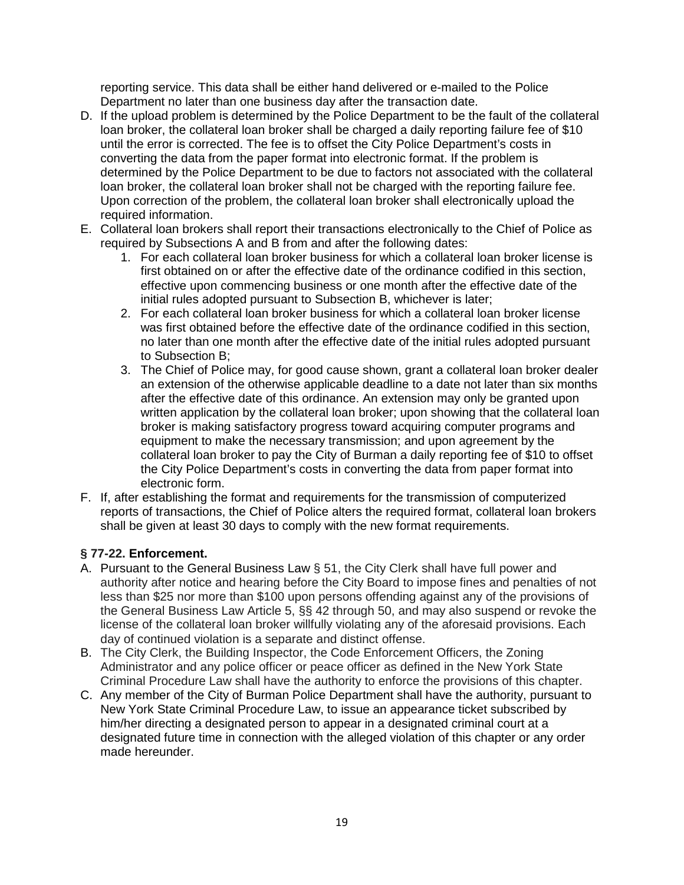reporting service. This data shall be either hand delivered or e-mailed to the Police Department no later than one business day after the transaction date.

- D. If the upload problem is determined by the Police Department to be the fault of the collateral loan broker, the collateral loan broker shall be charged a daily reporting failure fee of \$10 until the error is corrected. The fee is to offset the City Police Department's costs in converting the data from the paper format into electronic format. If the problem is determined by the Police Department to be due to factors not associated with the collateral loan broker, the collateral loan broker shall not be charged with the reporting failure fee. Upon correction of the problem, the collateral loan broker shall electronically upload the required information.
- E. Collateral loan brokers shall report their transactions electronically to the Chief of Police as required by Subsections A and B from and after the following dates:
	- 1. For each collateral loan broker business for which a collateral loan broker license is first obtained on or after the effective date of the ordinance codified in this section, effective upon commencing business or one month after the effective date of the initial rules adopted pursuant to Subsection B, whichever is later;
	- 2. For each collateral loan broker business for which a collateral loan broker license was first obtained before the effective date of the ordinance codified in this section, no later than one month after the effective date of the initial rules adopted pursuant to Subsection B;
	- 3. The Chief of Police may, for good cause shown, grant a collateral loan broker dealer an extension of the otherwise applicable deadline to a date not later than six months after the effective date of this ordinance. An extension may only be granted upon written application by the collateral loan broker; upon showing that the collateral loan broker is making satisfactory progress toward acquiring computer programs and equipment to make the necessary transmission; and upon agreement by the collateral loan broker to pay the City of Burman a daily reporting fee of \$10 to offset the City Police Department's costs in converting the data from paper format into electronic form.
- F. If, after establishing the format and requirements for the transmission of computerized reports of transactions, the Chief of Police alters the required format, collateral loan brokers shall be given at least 30 days to comply with the new format requirements.

# **§ 77-22. Enforcement.**

- A. Pursuant to the General Business Law § 51, the City Clerk shall have full power and authority after notice and hearing before the City Board to impose fines and penalties of not less than \$25 nor more than \$100 upon persons offending against any of the provisions of the General Business Law Article 5, §§ 42 through 50, and may also suspend or revoke the license of the collateral loan broker willfully violating any of the aforesaid provisions. Each day of continued violation is a separate and distinct offense.
- B. The City Clerk, the Building Inspector, the Code Enforcement Officers, the Zoning Administrator and any police officer or peace officer as defined in the New York State Criminal Procedure Law shall have the authority to enforce the provisions of this chapter.
- C. Any member of the City of Burman Police Department shall have the authority, pursuant to New York State Criminal Procedure Law, to issue an appearance ticket subscribed by him/her directing a designated person to appear in a designated criminal court at a designated future time in connection with the alleged violation of this chapter or any order made hereunder.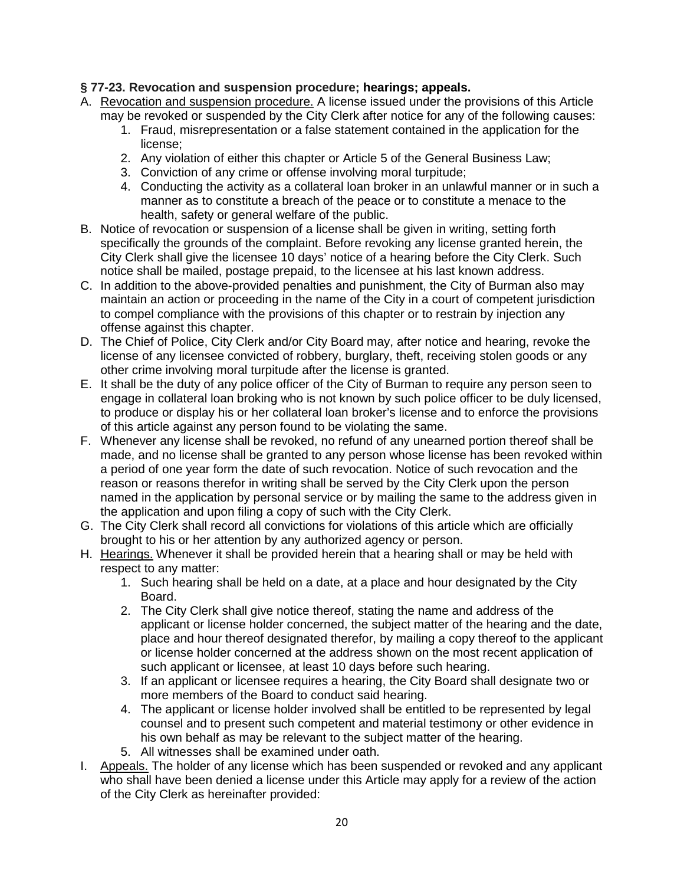# **§ 77-23. Revocation and suspension procedure; hearings; appeals.**

- A. Revocation and suspension procedure. A license issued under the provisions of this Article may be revoked or suspended by the City Clerk after notice for any of the following causes:
	- 1. Fraud, misrepresentation or a false statement contained in the application for the license;
	- 2. Any violation of either this chapter or Article 5 of the General Business Law;
	- 3. Conviction of any crime or offense involving moral turpitude;
	- 4. Conducting the activity as a collateral loan broker in an unlawful manner or in such a manner as to constitute a breach of the peace or to constitute a menace to the health, safety or general welfare of the public.
- B. Notice of revocation or suspension of a license shall be given in writing, setting forth specifically the grounds of the complaint. Before revoking any license granted herein, the City Clerk shall give the licensee 10 days' notice of a hearing before the City Clerk. Such notice shall be mailed, postage prepaid, to the licensee at his last known address.
- C. In addition to the above-provided penalties and punishment, the City of Burman also may maintain an action or proceeding in the name of the City in a court of competent jurisdiction to compel compliance with the provisions of this chapter or to restrain by injection any offense against this chapter.
- D. The Chief of Police, City Clerk and/or City Board may, after notice and hearing, revoke the license of any licensee convicted of robbery, burglary, theft, receiving stolen goods or any other crime involving moral turpitude after the license is granted.
- E. It shall be the duty of any police officer of the City of Burman to require any person seen to engage in collateral loan broking who is not known by such police officer to be duly licensed, to produce or display his or her collateral loan broker's license and to enforce the provisions of this article against any person found to be violating the same.
- F. Whenever any license shall be revoked, no refund of any unearned portion thereof shall be made, and no license shall be granted to any person whose license has been revoked within a period of one year form the date of such revocation. Notice of such revocation and the reason or reasons therefor in writing shall be served by the City Clerk upon the person named in the application by personal service or by mailing the same to the address given in the application and upon filing a copy of such with the City Clerk.
- G. The City Clerk shall record all convictions for violations of this article which are officially brought to his or her attention by any authorized agency or person.
- H. Hearings. Whenever it shall be provided herein that a hearing shall or may be held with respect to any matter:
	- 1. Such hearing shall be held on a date, at a place and hour designated by the City Board.
	- 2. The City Clerk shall give notice thereof, stating the name and address of the applicant or license holder concerned, the subject matter of the hearing and the date, place and hour thereof designated therefor, by mailing a copy thereof to the applicant or license holder concerned at the address shown on the most recent application of such applicant or licensee, at least 10 days before such hearing.
	- 3. If an applicant or licensee requires a hearing, the City Board shall designate two or more members of the Board to conduct said hearing.
	- 4. The applicant or license holder involved shall be entitled to be represented by legal counsel and to present such competent and material testimony or other evidence in his own behalf as may be relevant to the subject matter of the hearing.
	- 5. All witnesses shall be examined under oath.
- I. Appeals. The holder of any license which has been suspended or revoked and any applicant who shall have been denied a license under this Article may apply for a review of the action of the City Clerk as hereinafter provided: